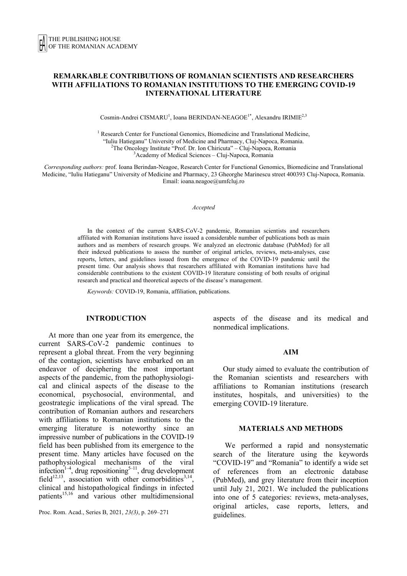# **REMARKABLE CONTRIBUTIONS OF ROMANIAN SCIENTISTS AND RESEARCHERS WITH AFFILIATIONS TO ROMANIAN INSTITUTIONS TO THE EMERGING COVID-19 INTERNATIONAL LITERATURE**

Cosmin-Andrei CISMARU<sup>1</sup>, Ioana BERINDAN-NEAGOE<sup>1\*</sup>, Alexandru IRIMIE<sup>2,3</sup>

<sup>1</sup> Research Center for Functional Genomics, Biomedicine and Translational Medicine, "Iuliu Hatieganu" University of Medicine and Pharmacy, Cluj-Napoca, Romania. 2  $2$ The Oncology Institute "Prof. Dr. Ion Chiricuta" – Cluj-Napoca, Romania <sup>3</sup>Academy of Medical Sciences – Cluj-Napoca, Romania

*Corresponding authors:* prof. Ioana Berindan-Neagoe, Research Center for Functional Genomics, Biomedicine and Translational Medicine, "Iuliu Hatieganu" University of Medicine and Pharmacy, 23 Gheorghe Marinescu street 400393 Cluj-Napoca, Romania. Email: ioana.neagoe@umfcluj.ro

*Accepted*

In the context of the current SARS-CoV-2 pandemic, Romanian scientists and researchers affiliated with Romanian institutions have issued a considerable number of publications both as main authors and as members of research groups. We analyzed an electronic database (PubMed) for all their indexed publications to assess the number of original articles, reviews, meta-analyses, case reports, letters, and guidelines issued from the emergence of the COVID-19 pandemic until the present time. Our analysis shows that researchers affiliated with Romanian institutions have had considerable contributions to the existent COVID-19 literature consisting of both results of original research and practical and theoretical aspects of the disease's management.

*Keywords:* COVID-19, Romania, affiliation, publications.

## **INTRODUCTION**

At more than one year from its emergence, the current SARS-CoV-2 pandemic continues to represent a global threat. From the very beginning of the contagion, scientists have embarked on an endeavor of deciphering the most important aspects of the pandemic, from the pathophysiological and clinical aspects of the disease to the economical, psychosocial, environmental, and geostrategic implications of the viral spread. The contribution of Romanian authors and researchers with affiliations to Romanian institutions to the emerging literature is noteworthy since an impressive number of publications in the COVID-19 field has been published from its emergence to the present time. Many articles have focused on the pathophysiological mechanisms of the viral infection<sup>1-4</sup>, drug repositioning<sup>5-11</sup>, drug development field<sup>12,13</sup>, association with other comorbidities<sup>3,14</sup>, clinical and histopathological findings in infected patients<sup>15,16</sup> and various other multidimensional

Proc. Rom. Acad., Series B, 2021, *23(3)*, p. 269–271

aspects of the disease and its medical and nonmedical implications.

#### **AIM**

Our study aimed to evaluate the contribution of the Romanian scientists and researchers with affiliations to Romanian institutions (research institutes, hospitals, and universities) to the emerging COVID-19 literature.

#### **MATERIALS AND METHODS**

We performed a rapid and nonsystematic search of the literature using the keywords "COVID-19" and "Romania" to identify a wide set of references from an electronic database (PubMed), and grey literature from their inception until July 21, 2021. We included the publications into one of 5 categories: reviews, meta-analyses, original articles, case reports, letters, and guidelines.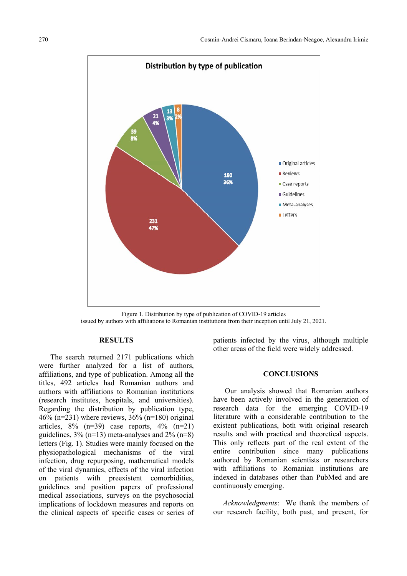

Figure 1. Distribution by type of publication of COVID-19 articles issued by authors with affiliations to Romanian institutions from their inception until July 21, 2021.

# **RESULTS**

 The search returned 2171 publications which were further analyzed for a list of authors, affiliations, and type of publication. Among all the titles, 492 articles had Romanian authors and authors with affiliations to Romanian institutions (research institutes, hospitals, and universities). Regarding the distribution by publication type, 46% (n=231) where reviews,  $36\%$  (n=180) original articles,  $8\%$  (n=39) case reports,  $4\%$  (n=21) guidelines, 3% (n=13) meta-analyses and 2% (n=8) letters (Fig. 1). Studies were mainly focused on the physiopathological mechanisms of the viral infection, drug repurposing, mathematical models of the viral dynamics, effects of the viral infection on patients with preexistent comorbidities, guidelines and position papers of professional medical associations, surveys on the psychosocial implications of lockdown measures and reports on the clinical aspects of specific cases or series of patients infected by the virus, although multiple other areas of the field were widely addressed.

## **CONCLUSIONS**

 Our analysis showed that Romanian authors have been actively involved in the generation of research data for the emerging COVID-19 literature with a considerable contribution to the existent publications, both with original research results and with practical and theoretical aspects. This only reflects part of the real extent of the entire contribution since many publications authored by Romanian scientists or researchers with affiliations to Romanian institutions are indexed in databases other than PubMed and are continuously emerging.

*Acknowledgments*: We thank the members of our research facility, both past, and present, for